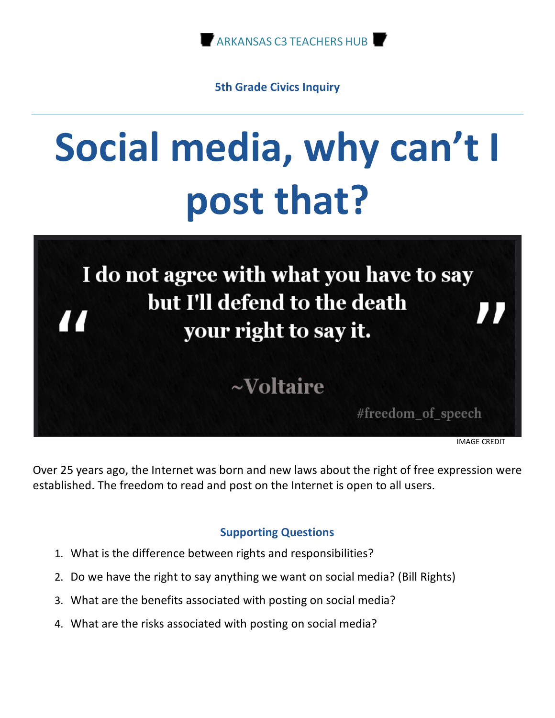

**5th Grade Civics Inquiry**

# **Social media, why can't I post that?**



Over 25 years ago, the Internet was born and new laws about the right of free expression were established. The freedom to read and post on the Internet is open to all users.

#### **Supporting Questions**

- 1. What is the difference between rights and responsibilities?
- 2. Do we have the right to say anything we want on social media? (Bill Rights)
- 3. What are the benefits associated with posting on social media?
- 4. What are the risks associated with posting on social media?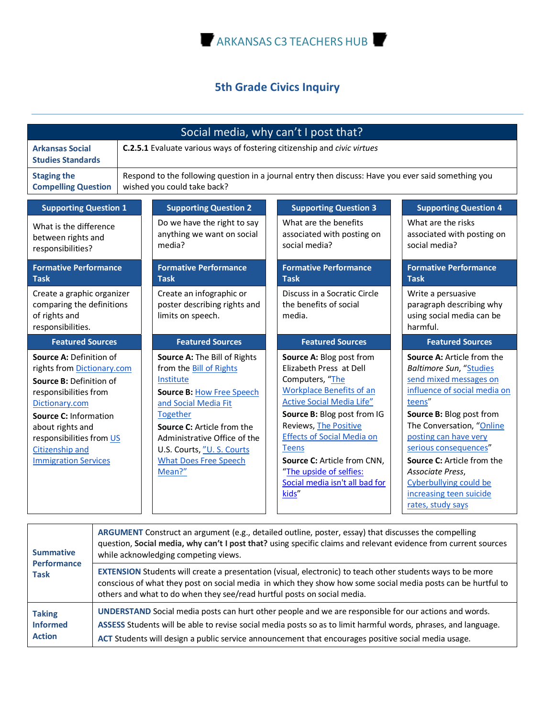

# **5th Grade Civics Inquiry**

| Social media, why can't I post that?                                                                                                                                                                                                                          |                                                                                                                                                                                                                                                                                           |                                                                                                                                                                                                                                                                                                                                                                        |                                                                                                                                                                                                                                                                                                                                                                                       |  |
|---------------------------------------------------------------------------------------------------------------------------------------------------------------------------------------------------------------------------------------------------------------|-------------------------------------------------------------------------------------------------------------------------------------------------------------------------------------------------------------------------------------------------------------------------------------------|------------------------------------------------------------------------------------------------------------------------------------------------------------------------------------------------------------------------------------------------------------------------------------------------------------------------------------------------------------------------|---------------------------------------------------------------------------------------------------------------------------------------------------------------------------------------------------------------------------------------------------------------------------------------------------------------------------------------------------------------------------------------|--|
| <b>Arkansas Social</b><br><b>Studies Standards</b>                                                                                                                                                                                                            | C.2.5.1 Evaluate various ways of fostering citizenship and civic virtues                                                                                                                                                                                                                  |                                                                                                                                                                                                                                                                                                                                                                        |                                                                                                                                                                                                                                                                                                                                                                                       |  |
| <b>Staging the</b><br><b>Compelling Question</b>                                                                                                                                                                                                              | Respond to the following question in a journal entry then discuss: Have you ever said something you<br>wished you could take back?                                                                                                                                                        |                                                                                                                                                                                                                                                                                                                                                                        |                                                                                                                                                                                                                                                                                                                                                                                       |  |
| <b>Supporting Question 1</b>                                                                                                                                                                                                                                  | <b>Supporting Question 2</b>                                                                                                                                                                                                                                                              | <b>Supporting Question 3</b>                                                                                                                                                                                                                                                                                                                                           | <b>Supporting Question 4</b>                                                                                                                                                                                                                                                                                                                                                          |  |
| What is the difference<br>between rights and<br>responsibilities?                                                                                                                                                                                             | Do we have the right to say<br>anything we want on social<br>media?                                                                                                                                                                                                                       | What are the benefits<br>associated with posting on<br>social media?                                                                                                                                                                                                                                                                                                   | What are the risks<br>associated with posting on<br>social media?                                                                                                                                                                                                                                                                                                                     |  |
| <b>Formative Performance</b><br><b>Task</b>                                                                                                                                                                                                                   | <b>Formative Performance</b><br><b>Task</b>                                                                                                                                                                                                                                               | <b>Formative Performance</b><br><b>Task</b>                                                                                                                                                                                                                                                                                                                            | <b>Formative Performance</b><br><b>Task</b>                                                                                                                                                                                                                                                                                                                                           |  |
| Create a graphic organizer<br>comparing the definitions<br>of rights and<br>responsibilities.                                                                                                                                                                 | Create an infographic or<br>poster describing rights and<br>limits on speech.                                                                                                                                                                                                             | Discuss in a Socratic Circle<br>the benefits of social<br>media.                                                                                                                                                                                                                                                                                                       | Write a persuasive<br>paragraph describing why<br>using social media can be<br>harmful.                                                                                                                                                                                                                                                                                               |  |
| <b>Featured Sources</b>                                                                                                                                                                                                                                       | <b>Featured Sources</b>                                                                                                                                                                                                                                                                   | <b>Featured Sources</b>                                                                                                                                                                                                                                                                                                                                                | <b>Featured Sources</b>                                                                                                                                                                                                                                                                                                                                                               |  |
| Source A: Definition of<br>rights from Dictionary.com<br>Source B: Definition of<br>responsibilities from<br>Dictionary.com<br><b>Source C: Information</b><br>about rights and<br>responsibilities from US<br>Citizenship and<br><b>Immigration Services</b> | Source A: The Bill of Rights<br>from the Bill of Rights<br>Institute<br><b>Source B: How Free Speech</b><br>and Social Media Fit<br><b>Together</b><br>Source C: Article from the<br>Administrative Office of the<br>U.S. Courts, "U. S. Courts<br><b>What Does Free Speech</b><br>Mean?" | Source A: Blog post from<br>Elizabeth Press at Dell<br>Computers, "The<br><b>Workplace Benefits of an</b><br><b>Active Social Media Life"</b><br>Source B: Blog post from IG<br><b>Reviews, The Positive</b><br><b>Effects of Social Media on</b><br><b>Teens</b><br>Source C: Article from CNN,<br>"The upside of selfies:<br>Social media isn't all bad for<br>kids" | <b>Source A: Article from the</b><br><b>Baltimore Sun, "Studies</b><br>send mixed messages on<br>influence of social media on<br>teens"<br>Source B: Blog post from<br>The Conversation, "Online<br>posting can have very<br>serious consequences"<br><b>Source C:</b> Article from the<br>Associate Press,<br>Cyberbullying could be<br>increasing teen suicide<br>rates, study says |  |

| <b>Summative</b><br><b>Performance</b><br><b>Task</b> | ARGUMENT Construct an argument (e.g., detailed outline, poster, essay) that discusses the compelling<br>question, Social media, why can't I post that? using specific claims and relevant evidence from current sources<br>while acknowledging competing views.                                                                |  |
|-------------------------------------------------------|--------------------------------------------------------------------------------------------------------------------------------------------------------------------------------------------------------------------------------------------------------------------------------------------------------------------------------|--|
|                                                       | EXTENSION Students will create a presentation (visual, electronic) to teach other students ways to be more<br>conscious of what they post on social media in which they show how some social media posts can be hurtful to<br>others and what to do when they see/read hurtful posts on social media.                          |  |
| <b>Taking</b><br><b>Informed</b><br><b>Action</b>     | UNDERSTAND Social media posts can hurt other people and we are responsible for our actions and words.<br>ASSESS Students will be able to revise social media posts so as to limit harmful words, phrases, and language.<br>ACT Students will design a public service announcement that encourages positive social media usage. |  |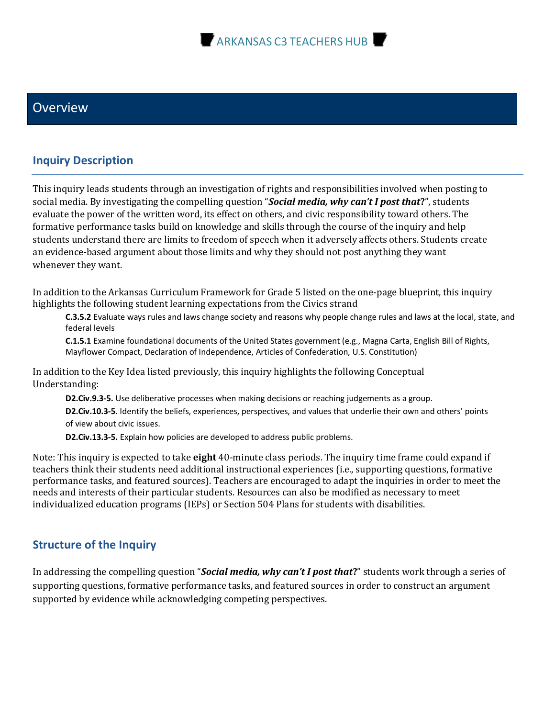

#### **Overview**

#### **Inquiry Description**

This inquiry leads students through an investigation of rights and responsibilities involved when posting to social media. By investigating the compelling question "*Social media, why can't I post that?***"**, students evaluate the power of the written word, its effect on others, and civic responsibility toward others. The formative performance tasks build on knowledge and skills through the course of the inquiry and help students understand there are limits to freedom of speech when it adversely affects others. Students create an evidence-based argument about those limits and why they should not post anything they want whenever they want.

In addition to the Arkansas Curriculum Framework for Grade 5 listed on the one-page blueprint, this inquiry highlights the following student learning expectations from the Civics strand

**C.3.5.2** Evaluate ways rules and laws change society and reasons why people change rules and laws at the local, state, and federal levels

**C.1.5.1** Examine foundational documents of the United States government (e.g., Magna Carta, English Bill of Rights, Mayflower Compact, Declaration of Independence, Articles of Confederation, U.S. Constitution)

In addition to the Key Idea listed previously, this inquiry highlights the following Conceptual Understanding:

**D2.Civ.9.3-5.** Use deliberative processes when making decisions or reaching judgements as a group. **D2.Civ.10.3-5**. Identify the beliefs, experiences, perspectives, and values that underlie their own and others' points of view about civic issues.

**D2.Civ.13.3-5.** Explain how policies are developed to address public problems.

Note: This inquiry is expected to take **eight** 40-minute class periods. The inquiry time frame could expand if teachers think their students need additional instructional experiences (i.e., supporting questions, formative performance tasks, and featured sources). Teachers are encouraged to adapt the inquiries in order to meet the needs and interests of their particular students. Resources can also be modified as necessary to meet individualized education programs (IEPs) or Section 504 Plans for students with disabilities.

#### **Structure of the Inquiry**

In addressing the compelling question "*Social media, why can't I post that***?**" students work through a series of supporting questions, formative performance tasks, and featured sources in order to construct an argument supported by evidence while acknowledging competing perspectives.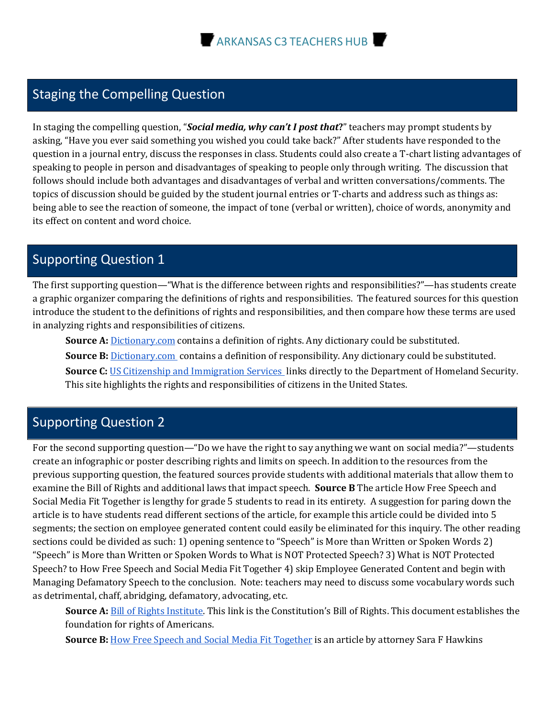# Staging the Compelling Question

In staging the compelling question, "*Social media, why can't I post that*?" teachers may prompt students by asking, "Have you ever said something you wished you could take back?" After students have responded to the question in a journal entry, discuss the responses in class. Students could also create a T-chart listing advantages of speaking to people in person and disadvantages of speaking to people only through writing. The discussion that follows should include both advantages and disadvantages of verbal and written conversations/comments. The topics of discussion should be guided by the student journal entries or T-charts and address such as things as: being able to see the reaction of someone, the impact of tone (verbal or written), choice of words, anonymity and its effect on content and word choice.

#### Supporting Question 1

The first supporting question—"What is the difference between rights and responsibilities?"—has students create a graphic organizer comparing the definitions of rights and responsibilities. The featured sources for this question introduce the student to the definitions of rights and responsibilities, and then compare how these terms are used in analyzing rights and responsibilities of citizens.

**Source A:** Dictionary.com contains a definition of rights. Any dictionary could be substituted. **Source B:** Dictionary.com contains a definition of responsibility. Any dictionary could be substituted.

**Source C:** US Citizenship and Immigration Services links directly to the Department of Homeland Security. This site highlights the rights and responsibilities of citizens in the United States.

## Supporting Question 2

For the second supporting question—"Do we have the right to say anything we want on social media?"—students create an infographic or poster describing rights and limits on speech. In addition to the resources from the previous supporting question, the featured sources provide students with additional materials that allow them to examine the Bill of Rights and additional laws that impact speech. **Source B** The article How Free Speech and Social Media Fit Together is lengthy for grade 5 students to read in its entirety. A suggestion for paring down the article is to have students read different sections of the article, for example this article could be divided into 5 segments; the section on employee generated content could easily be eliminated for this inquiry. The other reading sections could be divided as such: 1) opening sentence to "Speech" is More than Written or Spoken Words 2) "Speech" is More than Written or Spoken Words to What is NOT Protected Speech? 3) What is NOT Protected Speech? to How Free Speech and Social Media Fit Together 4) skip Employee Generated Content and begin with Managing Defamatory Speech to the conclusion. Note: teachers may need to discuss some vocabulary words such as detrimental, chaff, abridging, defamatory, advocating, etc.

**Source A:** Bill of Rights Institute. This link is the Constitution's Bill of Rights. This document establishes the foundation for rights of Americans.

**Source B:** How Free Speech and Social Media Fit Together is an article by attorney Sara F Hawkins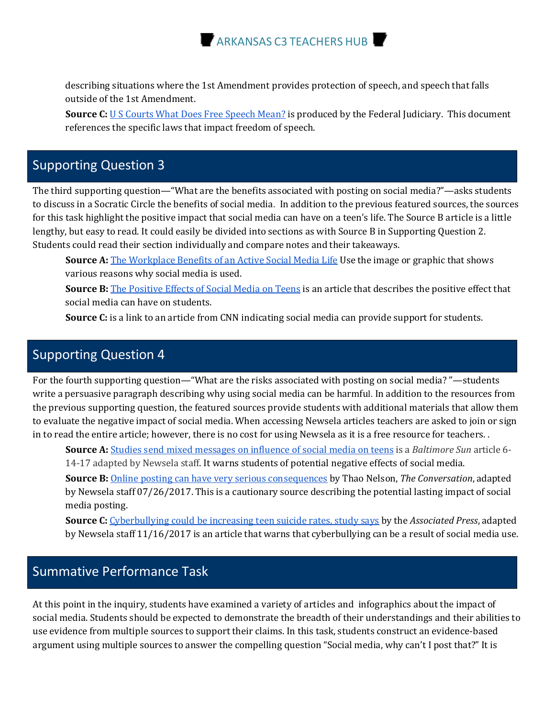

describing situations where the 1st Amendment provides protection of speech, and speech that falls outside of the 1st Amendment.

**Source C:** U S Courts What Does Free Speech Mean? is produced by the Federal Judiciary. This document references the specific laws that impact freedom of speech.

## Supporting Question 3

The third supporting question—"What are the benefits associated with posting on social media?"—asks students to discuss in a Socratic Circle the benefits of social media. In addition to the previous featured sources, the sources for this task highlight the positive impact that social media can have on a teen's life. The Source B article is a little lengthy, but easy to read. It could easily be divided into sections as with Source B in Supporting Question 2. Students could read their section individually and compare notes and their takeaways.

**Source A:** The Workplace Benefits of an Active Social Media Life Use the image or graphic that shows various reasons why social media is used.

**Source B:** The Positive Effects of Social Media on Teens is an article that describes the positive effect that social media can have on students.

**Source C:** is a link to an article from CNN indicating social media can provide support for students.

#### Supporting Question 4

For the fourth supporting question—"What are the risks associated with posting on social media?"—students write a persuasive paragraph describing why using social media can be harmful. In addition to the resources from the previous supporting question, the featured sources provide students with additional materials that allow them to evaluate the negative impact of social media. When accessing Newsela articles teachers are asked to join or sign in to read the entire article; however, there is no cost for using Newsela as it is a free resource for teachers..

**Source A:** Studies send mixed messages on influence of social media on teens is a *Baltimore Sun* article 6-14-17 adapted by Newsela staff. It warns students of potential negative effects of social media.

**Source B:** Online posting can have very serious consequences by Thao Nelson, The Conversation, adapted by Newsela staff 07/26/2017. This is a cautionary source describing the potential lasting impact of social media posting. 

**Source C:** Cyberbullying could be increasing teen suicide rates, study says by the *Associated Press*, adapted by Newsela staff 11/16/2017 is an article that warns that cyberbullying can be a result of social media use.

#### Summative Performance Task

At this point in the inquiry, students have examined a variety of articles and infographics about the impact of social media. Students should be expected to demonstrate the breadth of their understandings and their abilities to use evidence from multiple sources to support their claims. In this task, students construct an evidence-based argument using multiple sources to answer the compelling question "Social media, why can't I post that?" It is